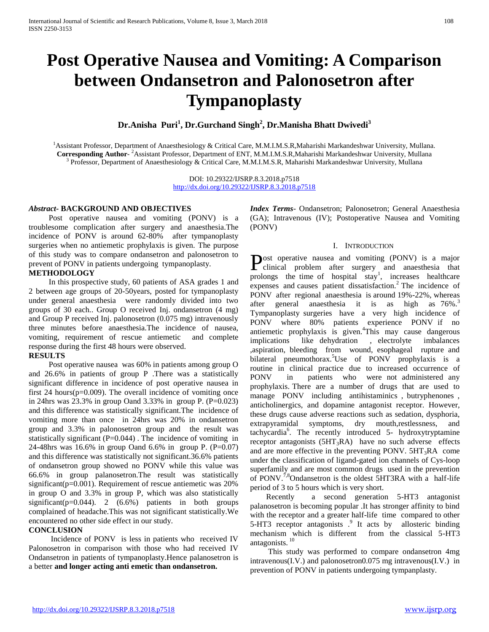# **Post Operative Nausea and Vomiting: A Comparison between Ondansetron and Palonosetron after Tympanoplasty**

**Dr.Anisha Puri<sup>1</sup> , Dr.Gurchand Singh<sup>2</sup> , Dr.Manisha Bhatt Dwivedi<sup>3</sup>**

<sup>1</sup>Assistant Professor, Department of Anaesthesiology & Critical Care, M.M.I.M.S.R,Maharishi Markandeshwar University, Mullana. **Corresponding Author**-<sup>2</sup>Assistant Professor, Department of ENT, M.M.I.M.S.R,Maharishi Markandeshwar University, Mullana <sup>3</sup> Professor, Department of Anaesthesiology & Critical Care, M.M.I.M.S.R, Maharishi Markandeshwar University, Mullana

> DOI: 10.29322/IJSRP.8.3.2018.p7518 <http://dx.doi.org/10.29322/IJSRP.8.3.2018.p7518>

## *Abstract***- BACKGROUND AND OBJECTIVES**

 Post operative nausea and vomiting (PONV) is a troublesome complication after surgery and anaesthesia.The incidence of PONV is around 62-80% after tympanoplasty surgeries when no antiemetic prophylaxis is given. The purpose of this study was to compare ondansetron and palonosetron to prevent of PONV in patients undergoing tympanoplasty.

## **METHODOLOGY**

 In this prospective study, 60 patients of ASA grades 1 and 2 between age groups of 20-50years, posted for tympanoplasty under general anaesthesia were randomly divided into two groups of 30 each.. Group O received Inj. ondansetron (4 mg) and Group P received Inj. palonosetron (0.075 mg) intravenously three minutes before anaesthesia.The incidence of nausea, vomiting, requirement of rescue antiemetic and complete response during the first 48 hours were observed.

## **RESULTS**

 Post operative nausea was 60% in patients among group O and 26.6% in patients of group P .There was a statistically significant difference in incidence of post operative nausea in first 24 hours $(p=0.009)$ . The overall incidence of vomiting once in 24hrs was  $23.3\%$  in group Oand  $3.33\%$  in group P. (P=0.023) and this difference was statistically significant.The incidence of vomiting more than once in 24hrs was 20% in ondansetron group and 3.3% in palonosetron group and the result was statistically significant  $(P=0.044)$ . The incidence of vomiting in 24-48hrs was 16.6% in group Oand 6.6% in group P. (P=0.07) and this difference was statistically not significant.36.6% patients of ondansetron group showed no PONV while this value was 66.6% in group palanosetron.The result was statistically significant(p=0.001). Requirement of rescue antiemetic was 20% in group O and 3.3% in group P, which was also statistically significant(p=0.044). 2 (6.6%) patients in both groups complained of headache.This was not significant statistically.We encountered no other side effect in our study.

## **CONCLUSION**

 Incidence of PONV is less in patients who received IV Palonosetron in comparison with those who had received IV Ondansetron in patients of tympanoplasty.Hence palanosetron is a better **and longer acting anti emetic than ondansetron.**

*Index Terms-* Ondansetron: Palonosetron: General Anaesthesia (GA); Intravenous (IV); Postoperative Nausea and Vomiting (PONV)

## I. INTRODUCTION

**Post operative nausea and vomiting (PONV)** is a major clinical problem after surgery and anaesthesia that clinical problem after surgery and anaesthesia that prolongs the time of hospital  $stay<sup>1</sup>$ , increases healthcare expenses and causes patient dissatisfaction.<sup>2</sup> The incidence of PONV after regional anaesthesia is around 19%-22%, whereas after general anaesthesia it is as high as  $76\%$ <sup>3</sup> Tympanoplasty surgeries have a very high incidence of PONV where 80% patients experience PONV if no antiemetic prophylaxis is given.<sup>4</sup>This may cause dangerous implications like dehydration , electrolyte imbalances ,aspiration, bleeding from wound, esophageal rupture and bilateral pneumothorax.<sup>5</sup>Use of PONV prophylaxis is a routine in clinical practice due to increased occurrence of PONV in patients who were not administered any prophylaxis. There are a number of drugs that are used to manage PONV including antihistaminics , butryphenones , anticholinergics, and dopamine antagonist receptor. However, these drugs cause adverse reactions such as sedation, dysphoria, extrapyramidal symptoms, dry mouth,restlessness, and tachycardia<sup>6</sup> . The recently introduced 5- hydroxytryptamine receptor antagonists  $(5HT_3RA)$  have no such adverse effects and are more effective in the preventing PONV.  $5HT_3RA$  come under the classification of ligand-gated ion channels of Cys-loop superfamily and are most common drugs used in the prevention of PONV.<sup>7,8</sup>Ondansetron is the oldest 5HT3RA with a half-life period of 3 to 5 hours which is very short.

 Recently a second generation 5-HT3 antagonist palanosetron is becoming popular .It has stronger affinity to bind with the receptor and a greater half-life time compared to other 5-HT3 receptor antagonists .<sup>9</sup> It acts by allosteric binding mechanism which is different from the classical 5-HT3 antagonists.<sup>10</sup>

 This study was performed to compare ondansetron 4mg intravenous(I.V.) and palonosetron0.075 mg intravenous(I.V.) in prevention of PONV in patients undergoing tympanplasty.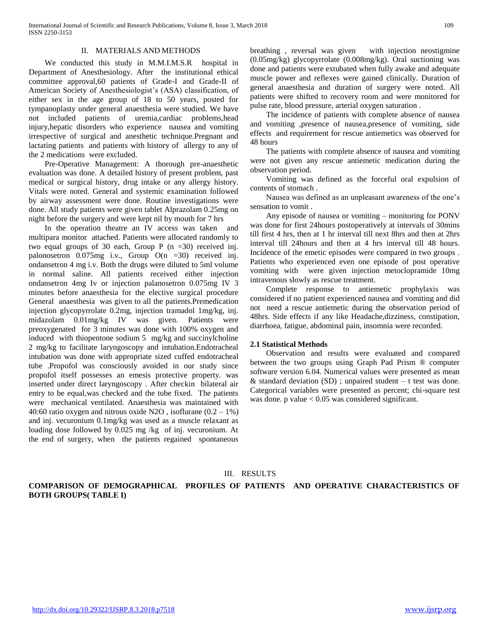## II. MATERIALS AND METHODS

We conducted this study in M.M.I.M.S.R hospital in Department of Anesthesiology. After the institutional ethical committee approval,60 patients of Grade-I and Grade-II of American Society of Anesthesiologist's (ASA) classification, of either sex in the age group of 18 to 50 years, posted for tympanoplasty under general anaesthesia were studied. We have not included patients of uremia,cardiac problems,head injury,hepatic disorders who experience nausea and vomiting irrespective of surgical and anesthetic technique.Pregnant and lactating patients and patients with history of allergy to any of the 2 medications were excluded.

 Pre-Operative Management: A thorough pre-anaesthetic evaluation was done. A detailed history of present problem, past medical or surgical history, drug intake or any allergy history. Vitals were noted. General and systemic examination followed by airway assessment were done. Routine investigations were done. All study patients were given tablet Alprazolam 0.25mg on night before the surgery and were kept nil by mouth for 7 hrs

 In the operation theatre an IV access was taken and multipara monitor attached. Patients were allocated randomly to two equal groups of 30 each, Group P  $(n = 30)$  received inj. palonosetron 0.075mg i.v., Group O(n =30) received inj. ondansetron 4 mg i.v. Both the drugs were diluted to 5ml volume in normal saline. All patients received either injection ondansetron 4mg Iv or injection palanosetron 0.075mg IV 3 minutes before anaesthesia for the elective surgical procedure General anaesthesia was given to all the patients.Premedication injection glycopyrrolate 0.2mg, injection tramadol 1mg/kg, inj. midazolam 0.01mg/kg IV was given. Patients were preoxygenated for 3 minutes was done with 100% oxygen and induced with thiopentone sodium 5 mg/kg and succinylcholine 2 mg/kg to facilitate laryngoscopy and intubation.Endotracheal intubation was done with appropriate sized cuffed endotracheal tube .Propofol was consciously avoided in our study since propofol itself possesses an emesis protective property. was inserted under direct laryngoscopy . After checkin bilateral air entry to be equal,was checked and the tube fixed. The patients were mechanical ventilated. Anaesthesia was maintained with 40:60 ratio oxygen and nitrous oxide N2O, isoflurane  $(0.2 - 1\%)$ and inj. vecuronium 0.1mg/kg was used as a muscle relaxant as loading dose followed by 0.025 mg /kg of inj. vecuronium. At the end of surgery, when the patients regained spontaneous breathing , reversal was given with injection neostigmine (0.05mg/kg) glycopyrrolate (0.008mg/kg). Oral suctioning was done and patients were extubated when fully awake and adequate muscle power and reflexes were gained clinically. Duration of general anaesthesia and duration of surgery were noted. All patients were shifted to recovery room and were monitored for pulse rate, blood pressure, arterial oxygen saturation .

 The incidence of patients with complete absence of nausea and vomiting ,presence of nausea,presence of vomiting, side effects and requirement for rescue antiemetics was observed for 48 hours

 The patients with complete absence of nausea and vomiting were not given any rescue antiemetic medication during the observation period.

 Vomiting was defined as the forceful oral expulsion of contents of stomach .

 Nausea was defined as an unpleasant awareness of the one's sensation to vomit .

 Any episode of nausea or vomiting – monitoring for PONV was done for first 24hours postoperatively at intervals of 30mins till first 4 hrs, then at 1 hr interval till next 8hrs and then at 2hrs interval till 24hours and then at 4 hrs interval till 48 hours. Incidence of the emetic episodes were compared in two groups . Patients who experienced even one episode of post operative vomiting with were given injection metoclopramide 10mg intravenous slowly as rescue treatment.

 Complete response to antiemetic prophylaxis was considered if no patient experienced nausea and vomiting and did not need a rescue antiemetic during the observation period of 48hrs. Side effects if any like Headache,dizziness, constipation, diarrhoea, fatigue, abdominal pain, insomnia were recorded.

#### **2.1 Statistical Methods**

 Observation and results were evaluated and compared between the two groups using Graph Pad Prism ® computer software version 6.04. Numerical values were presented as mean & standard deviation  $(SD)$ ; unpaired student – t test was done. Categorical variables were presented as percent; chi-square test was done. p value  $< 0.05$  was considered significant.

## III. RESULTS

**COMPARISON OF DEMOGRAPHICAL PROFILES OF PATIENTS AND OPERATIVE CHARACTERISTICS OF BOTH GROUPS( TABLE I)**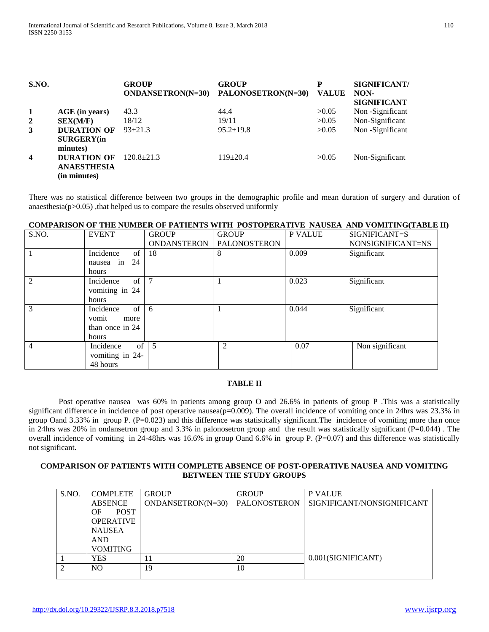| <b>S.NO.</b>            |                                                          | <b>GROUP</b><br><b>ONDANSETRON(N=30)</b> | <b>GROUP</b><br>PALONOSETRON(N=30) | P<br><b>VALUE</b> | SIGNIFICANT/<br>NON-<br><b>SIGNIFICANT</b> |
|-------------------------|----------------------------------------------------------|------------------------------------------|------------------------------------|-------------------|--------------------------------------------|
| 1                       | AGE (in years)                                           | 43.3                                     | 44.4                               | >0.05             | Non-Significant                            |
| $\overline{2}$          | SEX(M/F)                                                 | 18/12                                    | 19/11                              | >0.05             | Non-Significant                            |
| 3                       | <b>DURATION OF</b><br><b>SURGERY</b> (in<br>minutes)     | $93 + 21.3$                              | $95.2 \pm 19.8$                    | >0.05             | Non-Significant                            |
| $\overline{\mathbf{4}}$ | <b>DURATION OF</b><br><b>ANAESTHESIA</b><br>(in minutes) | $120.8 \pm 21.3$                         | $119\pm 20.4$                      | >0.05             | Non-Significant                            |

There was no statistical difference between two groups in the demographic profile and mean duration of surgery and duration of anaesthesia( $p > 0.05$ ), that helped us to compare the results observed uniformly

## **COMPARISON OF THE NUMBER OF PATIENTS WITH POSTOPERATIVE NAUSEA AND VOMITING(TABLE II)**

| S.NO. | <b>EVENT</b>    | <b>GROUP</b> | <b>GROUP</b>        | P VALUE | SIGNIFICANT=S     |
|-------|-----------------|--------------|---------------------|---------|-------------------|
|       |                 | ONDANSTERON  | <b>PALONOSTERON</b> |         | NONSIGNIFICANT=NS |
|       | Incidence<br>of | 18           | 8                   | 0.009   | Significant       |
|       | nausea in 24    |              |                     |         |                   |
|       | hours           |              |                     |         |                   |
| 2     | of<br>Incidence | 7            |                     | 0.023   | Significant       |
|       | vomiting in 24  |              |                     |         |                   |
|       | hours           |              |                     |         |                   |
| 3     | of<br>Incidence | -6           |                     | 0.044   | Significant       |
|       | vomit<br>more   |              |                     |         |                   |
|       | than once in 24 |              |                     |         |                   |
|       | hours           |              |                     |         |                   |
| 4     | of<br>Incidence | 5            | $\overline{2}$      | 0.07    | Non significant   |
|       | vomiting in 24- |              |                     |         |                   |
|       | 48 hours        |              |                     |         |                   |

## **TABLE II**

 Post operative nausea was 60% in patients among group O and 26.6% in patients of group P .This was a statistically significant difference in incidence of post operative nausea( $p=0.009$ ). The overall incidence of vomiting once in 24hrs was 23.3% in group Oand 3.33% in group P. (P=0.023) and this difference was statistically significant.The incidence of vomiting more than once in 24hrs was 20% in ondansetron group and 3.3% in palonosetron group and the result was statistically significant (P=0.044). The overall incidence of vomiting in 24-48hrs was 16.6% in group Oand 6.6% in group P. (P=0.07) and this difference was statistically not significant.

## **COMPARISON OF PATIENTS WITH COMPLETE ABSENCE OF POST-OPERATIVE NAUSEA AND VOMITING BETWEEN THE STUDY GROUPS**

| S.NO. | <b>COMPLETE</b>   | <b>GROUP</b>      | <b>GROUP</b> | <b>P VALUE</b>             |
|-------|-------------------|-------------------|--------------|----------------------------|
|       | <b>ABSENCE</b>    | ONDANSETRON(N=30) | PALONOSTERON | SIGNIFICANT/NONSIGNIFICANT |
|       | <b>POST</b><br>OF |                   |              |                            |
|       | <b>OPERATIVE</b>  |                   |              |                            |
|       | <b>NAUSEA</b>     |                   |              |                            |
|       | <b>AND</b>        |                   |              |                            |
|       | <b>VOMITING</b>   |                   |              |                            |
|       | YES               | 11                | 20           | 0.001(SIGNIFICANT)         |
|       | N <sub>O</sub>    | 19                | 10           |                            |
|       |                   |                   |              |                            |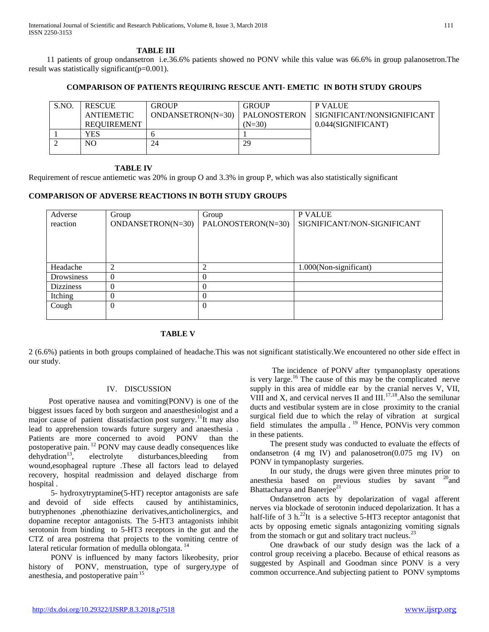International Journal of Scientific and Research Publications, Volume 8, Issue 3, March 2018 111 ISSN 2250-3153

#### **TABLE III**

 11 patients of group ondansetron i.e.36.6% patients showed no PONV while this value was 66.6% in group palanosetron.The result was statistically significant(p=0.001).

## **COMPARISON OF PATIENTS REQUIRING RESCUE ANTI- EMETIC IN BOTH STUDY GROUPS**

| S.NO. | <b>RESCUE</b><br>ANTIEMETIC | <b>GROUP</b><br>$ONDANSETRON(N=30)$ | <b>GROUP</b><br><b>PALONOSTERON</b> | <b>P VALUE</b><br>SIGNIFICANT/NONSIGNIFICANT |
|-------|-----------------------------|-------------------------------------|-------------------------------------|----------------------------------------------|
|       | <b>REOUIREMENT</b>          |                                     | $(N=30)$                            | 0.044(SIGNIFICANT)                           |
|       | YES                         |                                     |                                     |                                              |
|       | NO.                         | 24                                  | 29                                  |                                              |
|       |                             |                                     |                                     |                                              |

#### **TABLE IV**

Requirement of rescue antiemetic was 20% in group O and 3.3% in group P, which was also statistically significant

## **COMPARISON OF ADVERSE REACTIONS IN BOTH STUDY GROUPS**

| Adverse          | Group             | Group              | P VALUE                     |
|------------------|-------------------|--------------------|-----------------------------|
| reaction         | ONDANSETRON(N=30) | PALONOSTERON(N=30) | SIGNIFICANT/NON-SIGNIFICANT |
|                  |                   |                    |                             |
|                  |                   |                    |                             |
|                  |                   |                    |                             |
| Headache         | 2                 | ◠                  | 1.000(Non-significant)      |
| Drowsiness       | $\theta$          | $\Omega$           |                             |
| <b>Dizziness</b> | 0                 | $\Omega$           |                             |
| Itching          | 0                 | $\Omega$           |                             |
| Cough            | $\theta$          | $\Omega$           |                             |
|                  |                   |                    |                             |

## **TABLE V**

2 (6.6%) patients in both groups complained of headache.This was not significant statistically.We encountered no other side effect in our study.

## IV. DISCUSSION

Post operative nausea and vomiting(PONV) is one of the biggest issues faced by both surgeon and anaesthesiologist and a major cause of patient dissatisfaction post surgery.<sup>11</sup>It may also lead to apprehension towards future surgery and anaesthesia . Patients are more concerned to avoid PONV than the postoperative pain. <sup>12</sup> PONV may cause deadly consequences like  $dehydration<sup>13</sup>$ , electrolyte disturbances, bleeding from wound,esophageal rupture .These all factors lead to delayed recovery, hospital readmission and delayed discharge from hospital .

5- hydroxytryptamine(5-HT) receptor antagonists are safe and devoid of side effects caused by antihistaminics, butryphenones ,phenothiazine derivatives,anticholinergics, and dopamine receptor antagonists. The 5-HT3 antagonists inhibit serotonin from binding to 5-HT3 receptors in the gut and the CTZ of area postrema that projects to the vomiting centre of lateral reticular formation of medulla oblongata.<sup>14</sup>

PONV is influenced by many factors likeobesity, prior history of PONV, menstruation, type of surgery,type of anesthesia, and postoperative pain<sup>15</sup>

The incidence of PONV after tympanoplasty operations is very large.<sup>16</sup> The cause of this may be the complicated nerve supply in this area of middle ear by the cranial nerves V, VII, VIII and X, and cervical nerves II and  $III$ ,  $^{17,18}$ . Also the semilunar ducts and vestibular system are in close proximity to the cranial surgical field due to which the relay of vibration at surgical field stimulates the ampulla .<sup>19</sup> Hence, PONVis very common in these patients.

The present study was conducted to evaluate the effects of ondansetron  $(4 \text{ mg } IV)$  and palanosetron $(0.075 \text{ mg } IV)$  on PONV in tympanoplasty surgeries.

In our study, the drugs were given three minutes prior to anesthesia based on previous studies by savant  $20$  and Bhattacharya and Banerjee<sup>21</sup>

Ondansetron acts by depolarization of vagal afferent nerves via blockade of serotonin induced depolarization. It has a half-life of 3 h. $^{22}$ It is a selective 5-HT3 receptor antagonist that acts by opposing emetic signals antagonizing vomiting signals from the stomach or gut and solitary tract nucleus.<sup>23</sup>

One drawback of our study design was the lack of a control group receiving a placebo. Because of ethical reasons as suggested by Aspinall and Goodman since PONV is a very common occurrence.And subjecting patient to PONV symptoms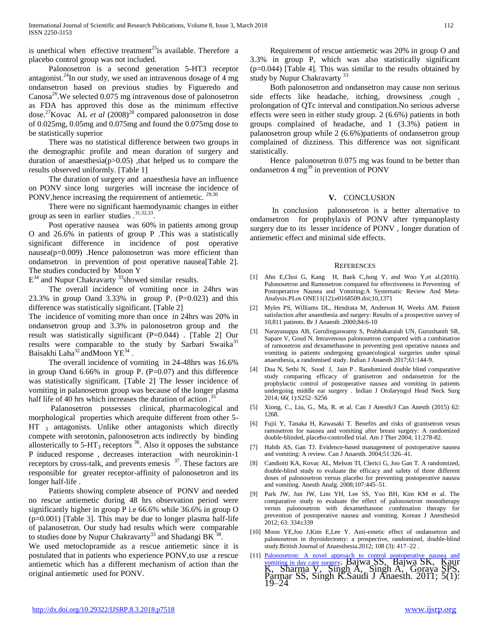is unethical when effective treatment<sup>25</sup>is available. Therefore a placebo control group was not included.

Palonosetron is a second generation 5-HT3 receptor antagonist.<sup>24</sup>In our study, we used an intravenous dosage of 4 mg ondansetron based on previous studies by Figueredo and  $\text{Canosa}^{26}$ . We selected 0.075 mg intravenous dose of palonosetron as FDA has approved this dose as the minimum effective dose.<sup>27</sup>Kovac AL *et al* (2008)<sup>28</sup> compared palonosetron in dose of 0.025mg, 0.05mg and 0.075mg and found the 0.075mg dose to be statistically superior

There was no statistical difference between two groups in the demographic profile and mean duration of surgery and duration of anaesthesia(p>0.05) ,that helped us to compare the results observed uniformly. [Table 1]

The duration of surgery and anaesthesia have an influence on PONV since long surgeries will increase the incidence of PONV, hence increasing the requirement of antiemetic. <sup>29,30</sup>

There were no significant haemodynamic changes in either group as seen in earlier studies  $.^{31,32,33}$ .

Post operative nausea was 60% in patients among group O and 26.6% in patients of group P .This was a statistically significant difference in incidence of post operative nausea(p=0.009) .Hence palonosetron was more efficient than ondansetron in prevention of post operative nausea[Table 2]. The studies conducted by Moon Y

 $E^{34}$  and Nupur Chakravarty  $33$ showed similar results.

The overall incidence of vomiting once in 24hrs was 23.3% in group Oand 3.33% in group P. (P=0.023) and this difference was statistically significant. [Table 2]

The incidence of vomiting more than once in 24hrs was 20% in ondansetron group and 3.3% in palonosetron group and the result was statistically significant (P=0.044) . [Table 2] Our results were comparable to the study by Sarbari Swaika<sup>31</sup> Baisakhi Laha $^{32}$  and Moon YE<sup>34</sup>.

The overall incidence of vomiting in 24-48hrs was 16.6% in group Oand  $6.66\%$  in group P. (P=0.07) and this difference was statistically significant. [Table 2] The lesser incidence of vomiting in palanosetron group was because of the longer plasma half life of 40 hrs which increases the duration of action.<sup>35</sup>

Palanosetron possesses clinical, pharmacological and morphological properties which arequite different from other 5- HT<sub>3</sub> antagonists. Unlike other antagonists which directly compete with serotonin, palonosetron acts indirectly by binding allosterically to  $5-\text{HT}_3$  receptors  $36$ . Also it opposes the substance P induced response , decreases interaction with neurokinin-1 receptors by cross-talk, and prevents emesis <sup>37</sup>. These factors are responsible for greater receptor-affinity of palonosetron and its longer half-life .

Patients showing complete absence of PONV and needed no rescue antiemetic during 48 hrs observation period were significantly higher in group P i.e 66.6% while 36.6% in group O  $(p=0.001)$  [Table 3]. This may be due to longer plasma half-life of palanosetron. Our study had results which were comparable to studies done by Nupur Chakravarty<sup>33</sup> and Shadangi BK  $^{38}$ .

We used metoclopramide as a rescue antiemetic since it is postulated that in patients who experience PONV,to use a rescue antiemetic which has a different mechanism of action than the original antiemetic used for PONV.

Requirement of rescue antiemetic was 20% in group O and 3.3% in group P, which was also statistically significant (p=0.044) [Table 4]. This was similar to the results obtained by study by Nupur Chakravarty<sup>33</sup>

Both palonosetron and ondansetron may cause non serious side effects like headache, itching, drowsiness ,cough , prolongation of QTc interval and constipation.No serious adverse effects were seen in either study group. 2 (6.6%) patients in both groups complained of headache, and 1 (3.3%) patient in palanosetron group while 2 (6.6%)patients of ondansetron group complained of dizziness. This difference was not significant statistically.

Hence palonosetron 0.075 mg was found to be better than ondansetron 4 mg<sup>39</sup> in prevention of PONV

## **V.** CONCLUSION

In conclusion palonosetron is a better alternative to ondansetron for prophylaxis of PONV after tympanoplasty surgery due to its lesser incidence of PONV , longer duration of antiemetic effect and minimal side effects.

## **REFERENCES**

- [1] Ahn E,Choi G, Kang H, Baek C,Jung Y, and Woo Y,et al.(2016). Palonosetron and Ramosetron compared for effectiveness in Preventing of Postoperative Nausea and Vomiting:A Systematic Review And Meta-Analysis.PLos ONE11(12);e0168509.doi;10,1371
- [2] Myles PS, Williams DL, Hendrata M, Anderson H, Weeks AM. Patient satisfaction after anaesthesia and surgery: Results of a prospective survey of 10,811 patients. Br J Anaesth .2000;84:6-10
- [3] Narayanappa AB, Gurulingaswamy S, Prabhakaraiah UN, Gurushanth SR, Sapare V, Goud N. Intravenous palonosetron compared with a combination of ramosetron and dexamethasone in preventing post operative nausea and vomiting in patients undergoing gynaecological surgeries under spinal anaesthesia, a randomised study. Indian J Anaesth 2017;61:144-9.
- [4] Dua N, Sethi N, Sood J, Jain P . Randomized double blind comparative study comparing efficacy of granisetron and ondansetron for the prophylactic control of postoperative nausea and vomiting in patients undergoing middle ear surgery . Indian J Otolaryngol Head Neck Surg 2014; 66( 1):S252–S256
- [5] Xiong, C., Liu, G., Ma, R. et al. Can J Anesth/J Can Anesth (2015) 62: 1268.
- [6] Fujii Y, Tanaka H, Kawasaki T. Benefits and risks of granisetron vesus ramosetron for nausea and vomiting after breast surgery: A randomized double-blinded, placebo-controlled trial. Am J Ther 2004; 11:278-82.
- [7] Habib AS, Gan TJ. Evidence-based management of postoperative nausea and vomiting: A review. Can J Anaesth. 2004;51:326–41.
- [8] Candiotti KA, Kovac AL, Melson TI, Clerici G, Joo Gan T. A randomized, double-blind study to evaluate the efficacy and safety of three different doses of palonosetron versus placebo for preventing postoperative nausea and vomiting. Anesth Analg. 2008;107:445–51.
- [9] Park JW, Jun JW, Lim YH, Lee SS, Yoo BH, Kim KM et al. The comparative study to evaluate the effect of palonosetron monotherapy versus palonosetron with dexamethasone combination therapy for prevention of postoperative nausea and vomiting. Korean J Anesthesiol 2012; 63: 334±339
- [10] Moon YE,Joo J,Kim E,Lee Y. Anti-emetic effect of ondansetron and palonosetron in thyroidectomy: a prospective, randomized, double-blind study.British Journal of Anaesthesia.2012; 108 (3): 417–22 .
- [11] [Palonosetron: A novel approach to control postoperative nausea and](https://www.ncbi.nlm.nih.gov/pmc/articles/PMC3101747/)  [vomiting in day care surgery](https://www.ncbi.nlm.nih.gov/pmc/articles/PMC3101747/). Bajwa SS, Bajwa SK, Kaur K, Sharma V, Singh A, Singh A, Goraya SPS, Parmar SS, Singh K.Saudi J Anaesth. 2011; 5(1): 19–24